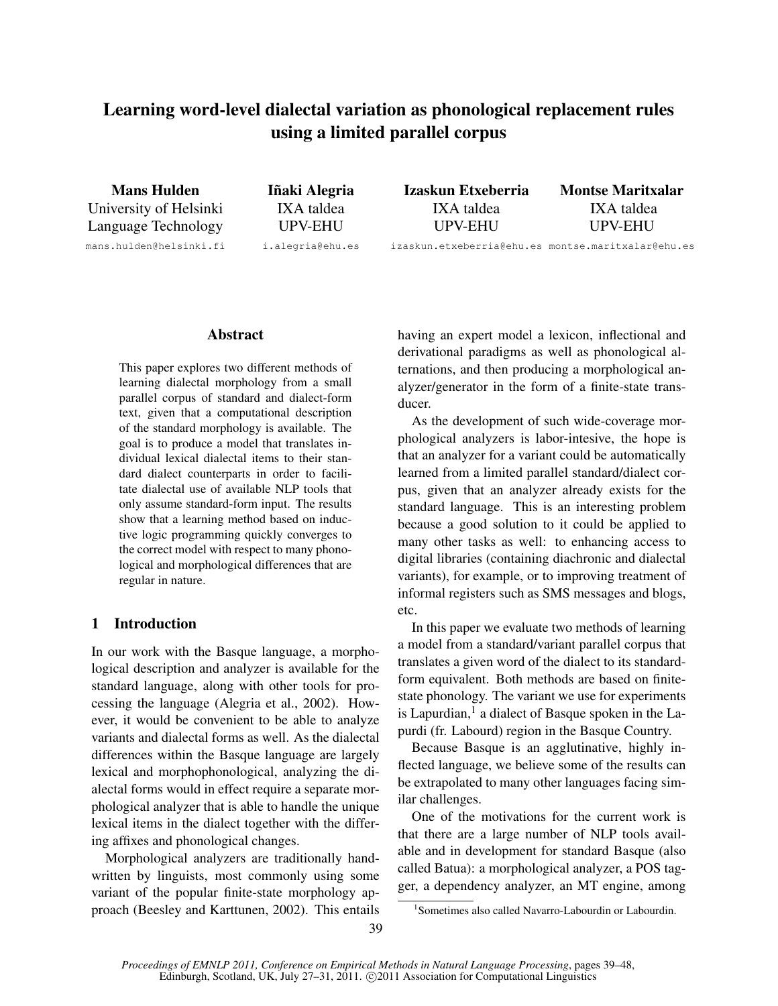# Learning word-level dialectal variation as phonological replacement rules using a limited parallel corpus

Mans Hulden University of Helsinki Language Technology mans.hulden@helsinki.fi

Iñaki Alegria IXA taldea UPV-EHU i.alegria@ehu.es Izaskun Etxeberria IXA taldea UPV-EHU Montse Maritxalar IXA taldea UPV-EHU

izaskun.etxeberria@ehu.es montse.maritxalar@ehu.es

# Abstract

This paper explores two different methods of learning dialectal morphology from a small parallel corpus of standard and dialect-form text, given that a computational description of the standard morphology is available. The goal is to produce a model that translates individual lexical dialectal items to their standard dialect counterparts in order to facilitate dialectal use of available NLP tools that only assume standard-form input. The results show that a learning method based on inductive logic programming quickly converges to the correct model with respect to many phonological and morphological differences that are regular in nature.

# 1 Introduction

In our work with the Basque language, a morphological description and analyzer is available for the standard language, along with other tools for processing the language (Alegria et al., 2002). However, it would be convenient to be able to analyze variants and dialectal forms as well. As the dialectal differences within the Basque language are largely lexical and morphophonological, analyzing the dialectal forms would in effect require a separate morphological analyzer that is able to handle the unique lexical items in the dialect together with the differing affixes and phonological changes.

Morphological analyzers are traditionally handwritten by linguists, most commonly using some variant of the popular finite-state morphology approach (Beesley and Karttunen, 2002). This entails having an expert model a lexicon, inflectional and derivational paradigms as well as phonological alternations, and then producing a morphological analyzer/generator in the form of a finite-state transducer.

As the development of such wide-coverage morphological analyzers is labor-intesive, the hope is that an analyzer for a variant could be automatically learned from a limited parallel standard/dialect corpus, given that an analyzer already exists for the standard language. This is an interesting problem because a good solution to it could be applied to many other tasks as well: to enhancing access to digital libraries (containing diachronic and dialectal variants), for example, or to improving treatment of informal registers such as SMS messages and blogs, etc.

In this paper we evaluate two methods of learning a model from a standard/variant parallel corpus that translates a given word of the dialect to its standardform equivalent. Both methods are based on finitestate phonology. The variant we use for experiments is Lapurdian,<sup>1</sup> a dialect of Basque spoken in the Lapurdi (fr. Labourd) region in the Basque Country.

Because Basque is an agglutinative, highly inflected language, we believe some of the results can be extrapolated to many other languages facing similar challenges.

One of the motivations for the current work is that there are a large number of NLP tools available and in development for standard Basque (also called Batua): a morphological analyzer, a POS tagger, a dependency analyzer, an MT engine, among

<sup>1</sup> Sometimes also called Navarro-Labourdin or Labourdin.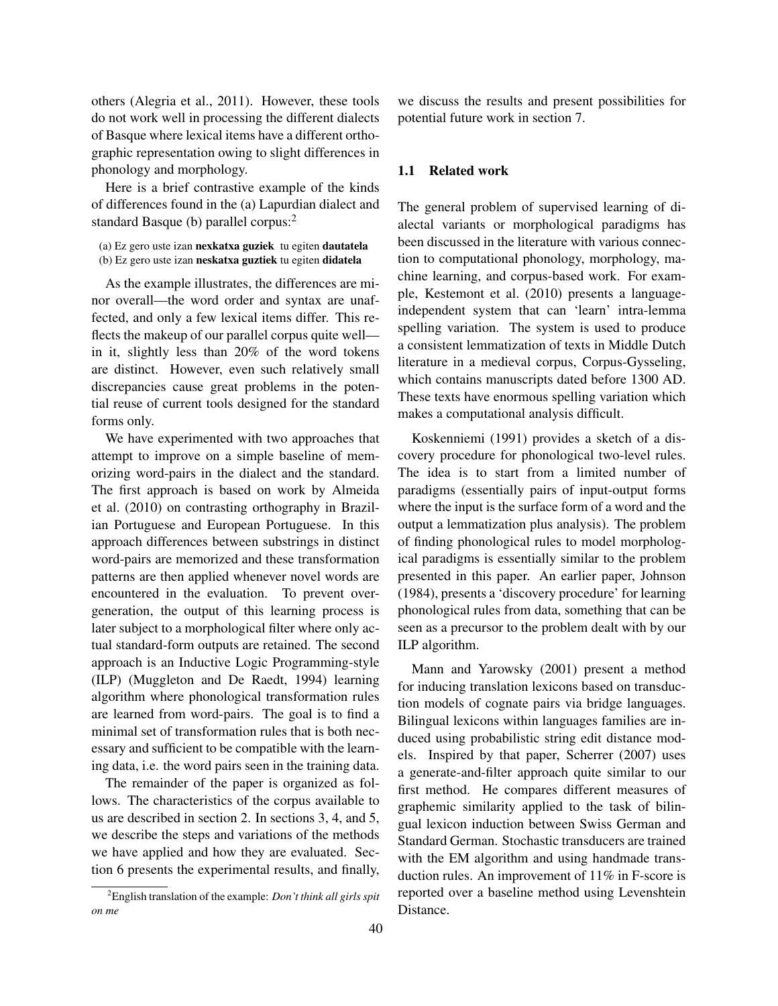others (Alegria et al., 2011). However, these tools do not work well in processing the different dialects of Basque where lexical items have a different orthographic representation owing to slight differences in phonology and morphology.

Here is a brief contrastive example of the kinds of differences found in the (a) Lapurdian dialect and standard Basque (b) parallel corpus:<sup>2</sup>

(a) Ez gero uste izan nexkatxa guziek tu egiten dautatela (b) Ez gero uste izan neskatxa guztiek tu egiten didatela

As the example illustrates, the differences are minor overall—the word order and syntax are unaffected, and only a few lexical items differ. This reflects the makeup of our parallel corpus quite well in it, slightly less than 20% of the word tokens are distinct. However, even such relatively small discrepancies cause great problems in the potential reuse of current tools designed for the standard forms only.

We have experimented with two approaches that attempt to improve on a simple baseline of memorizing word-pairs in the dialect and the standard. The first approach is based on work by Almeida et al. (2010) on contrasting orthography in Brazilian Portuguese and European Portuguese. In this approach differences between substrings in distinct word-pairs are memorized and these transformation patterns are then applied whenever novel words are encountered in the evaluation. To prevent overgeneration, the output of this learning process is later subject to a morphological filter where only actual standard-form outputs are retained. The second approach is an Inductive Logic Programming-style (ILP) (Muggleton and De Raedt, 1994) learning algorithm where phonological transformation rules are learned from word-pairs. The goal is to find a minimal set of transformation rules that is both necessary and sufficient to be compatible with the learning data, i.e. the word pairs seen in the training data.

The remainder of the paper is organized as follows. The characteristics of the corpus available to us are described in section 2. In sections 3, 4, and 5, we describe the steps and variations of the methods we have applied and how they are evaluated. Section 6 presents the experimental results, and finally, we discuss the results and present possibilities for potential future work in section 7.

#### 1.1 Related work

The general problem of supervised learning of dialectal variants or morphological paradigms has been discussed in the literature with various connection to computational phonology, morphology, machine learning, and corpus-based work. For example, Kestemont et al. (2010) presents a languageindependent system that can 'learn' intra-lemma spelling variation. The system is used to produce a consistent lemmatization of texts in Middle Dutch literature in a medieval corpus, Corpus-Gysseling, which contains manuscripts dated before 1300 AD. These texts have enormous spelling variation which makes a computational analysis difficult.

Koskenniemi (1991) provides a sketch of a discovery procedure for phonological two-level rules. The idea is to start from a limited number of paradigms (essentially pairs of input-output forms where the input is the surface form of a word and the output a lemmatization plus analysis). The problem of finding phonological rules to model morphological paradigms is essentially similar to the problem presented in this paper. An earlier paper, Johnson (1984), presents a 'discovery procedure' for learning phonological rules from data, something that can be seen as a precursor to the problem dealt with by our ILP algorithm.

Mann and Yarowsky (2001) present a method for inducing translation lexicons based on transduction models of cognate pairs via bridge languages. Bilingual lexicons within languages families are induced using probabilistic string edit distance models. Inspired by that paper, Scherrer (2007) uses a generate-and-filter approach quite similar to our first method. He compares different measures of graphemic similarity applied to the task of bilingual lexicon induction between Swiss German and Standard German. Stochastic transducers are trained with the EM algorithm and using handmade transduction rules. An improvement of 11% in F-score is reported over a baseline method using Levenshtein Distance.

<sup>2</sup>English translation of the example: *Don't think all girls spit on me*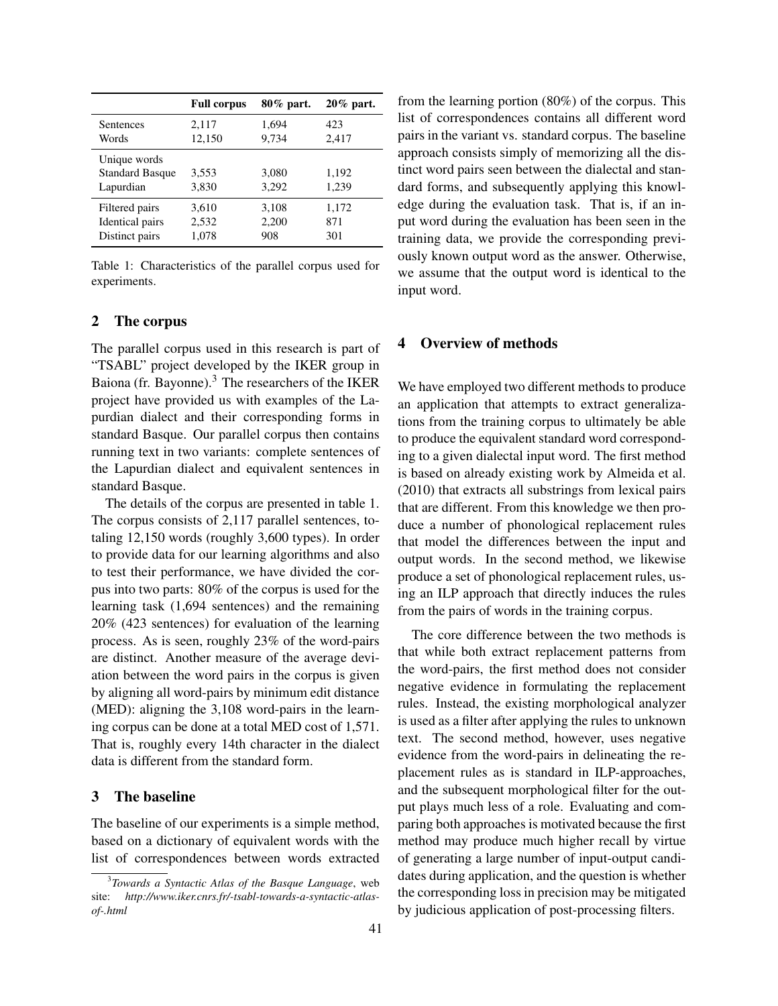|                                                     | <b>Full corpus</b> | 80% part.      | $20\%$ part.   |
|-----------------------------------------------------|--------------------|----------------|----------------|
| Sentences                                           | 2,117              | 1.694          | 423            |
| Words                                               | 12,150             | 9,734          | 2,417          |
| Unique words<br><b>Standard Basque</b><br>Lapurdian | 3,553<br>3,830     | 3,080<br>3.292 | 1,192<br>1,239 |
| Filtered pairs                                      | 3,610              | 3,108          | 1,172          |
| Identical pairs                                     | 2,532              | 2,200          | 871            |
| Distinct pairs                                      | 1,078              | 908            | 301            |

Table 1: Characteristics of the parallel corpus used for experiments.

## 2 The corpus

The parallel corpus used in this research is part of "TSABL" project developed by the IKER group in Baiona (fr. Bayonne).<sup>3</sup> The researchers of the IKER project have provided us with examples of the Lapurdian dialect and their corresponding forms in standard Basque. Our parallel corpus then contains running text in two variants: complete sentences of the Lapurdian dialect and equivalent sentences in standard Basque.

The details of the corpus are presented in table 1. The corpus consists of 2,117 parallel sentences, totaling 12,150 words (roughly 3,600 types). In order to provide data for our learning algorithms and also to test their performance, we have divided the corpus into two parts: 80% of the corpus is used for the learning task (1,694 sentences) and the remaining 20% (423 sentences) for evaluation of the learning process. As is seen, roughly 23% of the word-pairs are distinct. Another measure of the average deviation between the word pairs in the corpus is given by aligning all word-pairs by minimum edit distance (MED): aligning the 3,108 word-pairs in the learning corpus can be done at a total MED cost of 1,571. That is, roughly every 14th character in the dialect data is different from the standard form.

# 3 The baseline

The baseline of our experiments is a simple method, based on a dictionary of equivalent words with the list of correspondences between words extracted from the learning portion (80%) of the corpus. This list of correspondences contains all different word pairs in the variant vs. standard corpus. The baseline approach consists simply of memorizing all the distinct word pairs seen between the dialectal and standard forms, and subsequently applying this knowledge during the evaluation task. That is, if an input word during the evaluation has been seen in the training data, we provide the corresponding previously known output word as the answer. Otherwise, we assume that the output word is identical to the input word.

# 4 Overview of methods

We have employed two different methods to produce an application that attempts to extract generalizations from the training corpus to ultimately be able to produce the equivalent standard word corresponding to a given dialectal input word. The first method is based on already existing work by Almeida et al. (2010) that extracts all substrings from lexical pairs that are different. From this knowledge we then produce a number of phonological replacement rules that model the differences between the input and output words. In the second method, we likewise produce a set of phonological replacement rules, using an ILP approach that directly induces the rules from the pairs of words in the training corpus.

The core difference between the two methods is that while both extract replacement patterns from the word-pairs, the first method does not consider negative evidence in formulating the replacement rules. Instead, the existing morphological analyzer is used as a filter after applying the rules to unknown text. The second method, however, uses negative evidence from the word-pairs in delineating the replacement rules as is standard in ILP-approaches, and the subsequent morphological filter for the output plays much less of a role. Evaluating and comparing both approaches is motivated because the first method may produce much higher recall by virtue of generating a large number of input-output candidates during application, and the question is whether the corresponding loss in precision may be mitigated by judicious application of post-processing filters.

<sup>3</sup> *Towards a Syntactic Atlas of the Basque Language*, web site: *http://www.iker.cnrs.fr/-tsabl-towards-a-syntactic-atlasof-.html*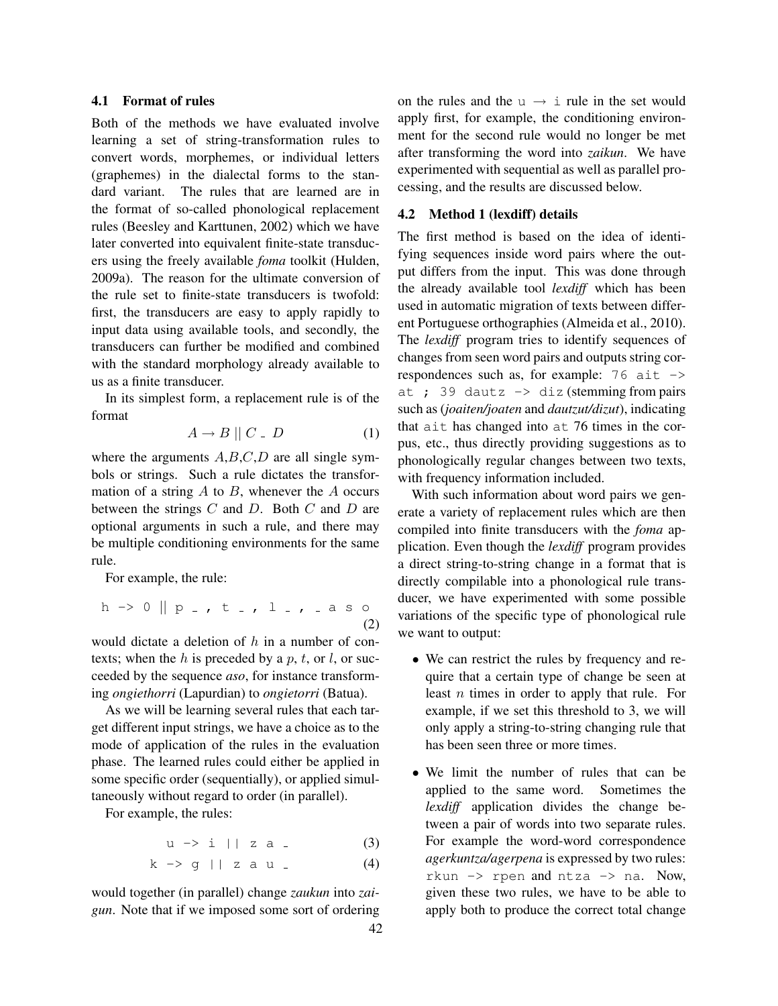## 4.1 Format of rules

Both of the methods we have evaluated involve learning a set of string-transformation rules to convert words, morphemes, or individual letters (graphemes) in the dialectal forms to the standard variant. The rules that are learned are in the format of so-called phonological replacement rules (Beesley and Karttunen, 2002) which we have later converted into equivalent finite-state transducers using the freely available *foma* toolkit (Hulden, 2009a). The reason for the ultimate conversion of the rule set to finite-state transducers is twofold: first, the transducers are easy to apply rapidly to input data using available tools, and secondly, the transducers can further be modified and combined with the standard morphology already available to us as a finite transducer.

In its simplest form, a replacement rule is of the format

$$
A \to B \parallel C \quad D \tag{1}
$$

where the arguments  $A, B, C, D$  are all single symbols or strings. Such a rule dictates the transformation of a string  $A$  to  $B$ , whenever the  $A$  occurs between the strings  $C$  and  $D$ . Both  $C$  and  $D$  are optional arguments in such a rule, and there may be multiple conditioning environments for the same rule.

For example, the rule:

$$
h \rightarrow 0 \parallel p_{-}, t_{-}, 1_{-}, a \text{ s} \text{0}
$$
\n(2)

would dictate a deletion of  $h$  in a number of contexts; when the h is preceded by a p, t, or l, or succeeded by the sequence *aso*, for instance transforming *ongiethorri* (Lapurdian) to *ongietorri* (Batua).

As we will be learning several rules that each target different input strings, we have a choice as to the mode of application of the rules in the evaluation phase. The learned rules could either be applied in some specific order (sequentially), or applied simultaneously without regard to order (in parallel).

For example, the rules:

$$
u \to i || z a . \tag{3}
$$

$$
k \to g || z a u . \tag{4}
$$

would together (in parallel) change *zaukun* into *zaigun*. Note that if we imposed some sort of ordering 42 on the rules and the  $u \rightarrow i$  rule in the set would apply first, for example, the conditioning environment for the second rule would no longer be met after transforming the word into *zaikun*. We have experimented with sequential as well as parallel processing, and the results are discussed below.

#### 4.2 Method 1 (lexdiff) details

The first method is based on the idea of identifying sequences inside word pairs where the output differs from the input. This was done through the already available tool *lexdiff* which has been used in automatic migration of texts between different Portuguese orthographies (Almeida et al., 2010). The *lexdiff* program tries to identify sequences of changes from seen word pairs and outputs string correspondences such as, for example:  $76$  ait  $\rightarrow$ at ; 39 dautz  $\rightarrow$  diz (stemming from pairs such as (*joaiten/joaten* and *dautzut/dizut*), indicating that ait has changed into at 76 times in the corpus, etc., thus directly providing suggestions as to phonologically regular changes between two texts, with frequency information included.

With such information about word pairs we generate a variety of replacement rules which are then compiled into finite transducers with the *foma* application. Even though the *lexdiff* program provides a direct string-to-string change in a format that is directly compilable into a phonological rule transducer, we have experimented with some possible variations of the specific type of phonological rule we want to output:

- We can restrict the rules by frequency and require that a certain type of change be seen at least n times in order to apply that rule. For example, if we set this threshold to 3, we will only apply a string-to-string changing rule that has been seen three or more times.
- We limit the number of rules that can be applied to the same word. Sometimes the *lexdiff* application divides the change between a pair of words into two separate rules. For example the word-word correspondence *agerkuntza/agerpena* is expressed by two rules: rkun  $\Rightarrow$  rpen and ntza  $\Rightarrow$  na. Now, given these two rules, we have to be able to apply both to produce the correct total change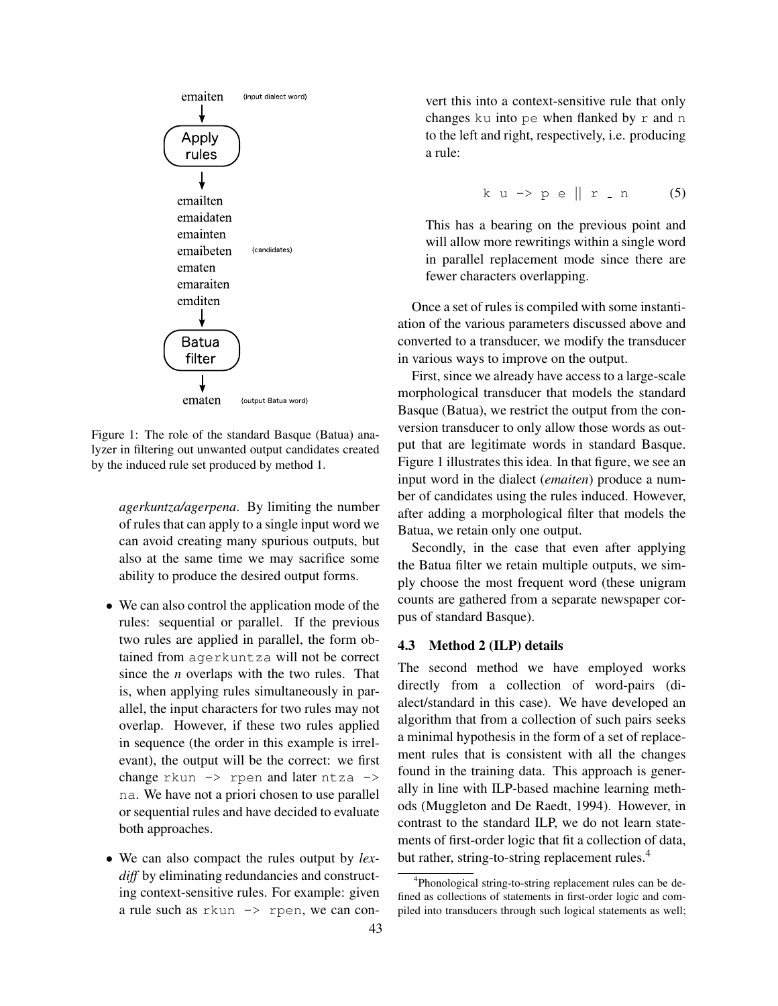

Figure 1: The role of the standard Basque (Batua) analyzer in filtering out unwanted output candidates created by the induced rule set produced by method 1.

*agerkuntza/agerpena*. By limiting the number of rules that can apply to a single input word we can avoid creating many spurious outputs, but also at the same time we may sacrifice some ability to produce the desired output forms.

- We can also control the application mode of the rules: sequential or parallel. If the previous two rules are applied in parallel, the form obtained from agerkuntza will not be correct since the *n* overlaps with the two rules. That is, when applying rules simultaneously in parallel, the input characters for two rules may not overlap. However, if these two rules applied in sequence (the order in this example is irrelevant), the output will be the correct: we first change  $rkun \rightarrow rpen$  and later  $ntxa \rightarrow$ na. We have not a priori chosen to use parallel or sequential rules and have decided to evaluate both approaches.
- We can also compact the rules output by *lex*diff by eliminating redundancies and constructing context-sensitive rules. For example: given a rule such as rkun -> rpen, we can con-

vert this into a context-sensitive rule that only changes ku into pe when flanked by r and n to the left and right, respectively, i.e. producing a rule:

$$
k u \rightarrow p e \| r \cdot n \qquad (5)
$$

This has a bearing on the previous point and will allow more rewritings within a single word in parallel replacement mode since there are fewer characters overlapping.

Once a set of rules is compiled with some instantiation of the various parameters discussed above and converted to a transducer, we modify the transducer in various ways to improve on the output.

First, since we already have access to a large-scale morphological transducer that models the standard Basque (Batua), we restrict the output from the conversion transducer to only allow those words as output that are legitimate words in standard Basque. Figure 1 illustrates this idea. In that figure, we see an input word in the dialect (*emaiten*) produce a number of candidates using the rules induced. However, after adding a morphological filter that models the Batua, we retain only one output.

Secondly, in the case that even after applying the Batua filter we retain multiple outputs, we simply choose the most frequent word (these unigram counts are gathered from a separate newspaper corpus of standard Basque).

#### 4.3 Method 2 (ILP) details

The second method we have employed works directly from a collection of word-pairs (dialect/standard in this case). We have developed an algorithm that from a collection of such pairs seeks a minimal hypothesis in the form of a set of replacement rules that is consistent with all the changes found in the training data. This approach is generally in line with ILP-based machine learning methods (Muggleton and De Raedt, 1994). However, in contrast to the standard ILP, we do not learn statements of first-order logic that fit a collection of data, but rather, string-to-string replacement rules.<sup>4</sup>

<sup>&</sup>lt;sup>4</sup>Phonological string-to-string replacement rules can be defined as collections of statements in first-order logic and compiled into transducers through such logical statements as well;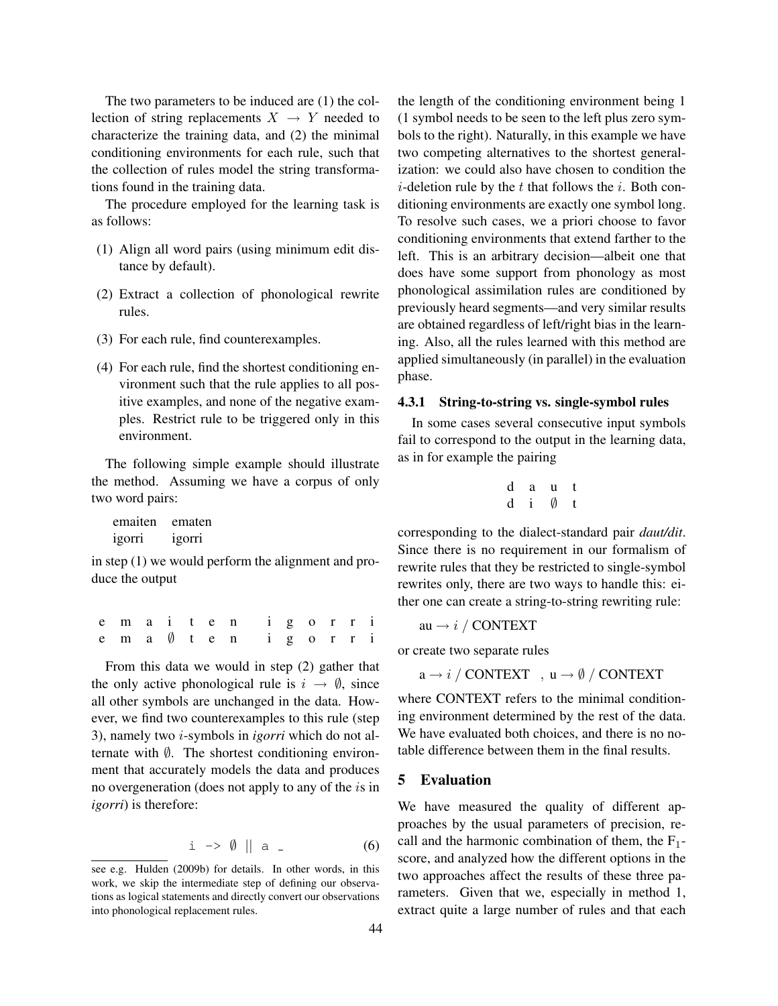The two parameters to be induced are (1) the collection of string replacements  $X \rightarrow Y$  needed to characterize the training data, and (2) the minimal conditioning environments for each rule, such that the collection of rules model the string transformations found in the training data.

The procedure employed for the learning task is as follows:

- (1) Align all word pairs (using minimum edit distance by default).
- (2) Extract a collection of phonological rewrite rules.
- (3) For each rule, find counterexamples.
- (4) For each rule, find the shortest conditioning environment such that the rule applies to all positive examples, and none of the negative examples. Restrict rule to be triggered only in this environment.

The following simple example should illustrate the method. Assuming we have a corpus of only two word pairs:

| emaiten | ematen |
|---------|--------|
| igorri  | igorri |

in step (1) we would perform the alignment and produce the output

e m a i t e n i g o r r i e m a ∅ t e n i g o r r i

From this data we would in step (2) gather that the only active phonological rule is  $i \rightarrow \emptyset$ , since all other symbols are unchanged in the data. However, we find two counterexamples to this rule (step 3), namely two i-symbols in *igorri* which do not alternate with  $\emptyset$ . The shortest conditioning environment that accurately models the data and produces no overgeneration (does not apply to any of the is in *igorri*) is therefore:

$$
i \rightarrow \emptyset \parallel a \quad (6)
$$

the length of the conditioning environment being 1 (1 symbol needs to be seen to the left plus zero symbols to the right). Naturally, in this example we have two competing alternatives to the shortest generalization: we could also have chosen to condition the *i*-deletion rule by the  $t$  that follows the  $i$ . Both conditioning environments are exactly one symbol long. To resolve such cases, we a priori choose to favor conditioning environments that extend farther to the left. This is an arbitrary decision—albeit one that does have some support from phonology as most phonological assimilation rules are conditioned by previously heard segments—and very similar results are obtained regardless of left/right bias in the learning. Also, all the rules learned with this method are applied simultaneously (in parallel) in the evaluation phase.

#### 4.3.1 String-to-string vs. single-symbol rules

In some cases several consecutive input symbols fail to correspond to the output in the learning data, as in for example the pairing

$$
\begin{array}{ccc} d & a & u & t \\ d & i & \emptyset & t \end{array}
$$

corresponding to the dialect-standard pair *daut/dit*. Since there is no requirement in our formalism of rewrite rules that they be restricted to single-symbol rewrites only, there are two ways to handle this: either one can create a string-to-string rewriting rule:

au  $\rightarrow i$  / CONTEXT

or create two separate rules

 $a \rightarrow i /$  CONTEXT,  $u \rightarrow \emptyset /$  CONTEXT

where CONTEXT refers to the minimal conditioning environment determined by the rest of the data. We have evaluated both choices, and there is no notable difference between them in the final results.

#### 5 Evaluation

We have measured the quality of different approaches by the usual parameters of precision, recall and the harmonic combination of them, the  $F_1$ score, and analyzed how the different options in the two approaches affect the results of these three parameters. Given that we, especially in method 1, extract quite a large number of rules and that each

see e.g. Hulden (2009b) for details. In other words, in this work, we skip the intermediate step of defining our observations as logical statements and directly convert our observations into phonological replacement rules.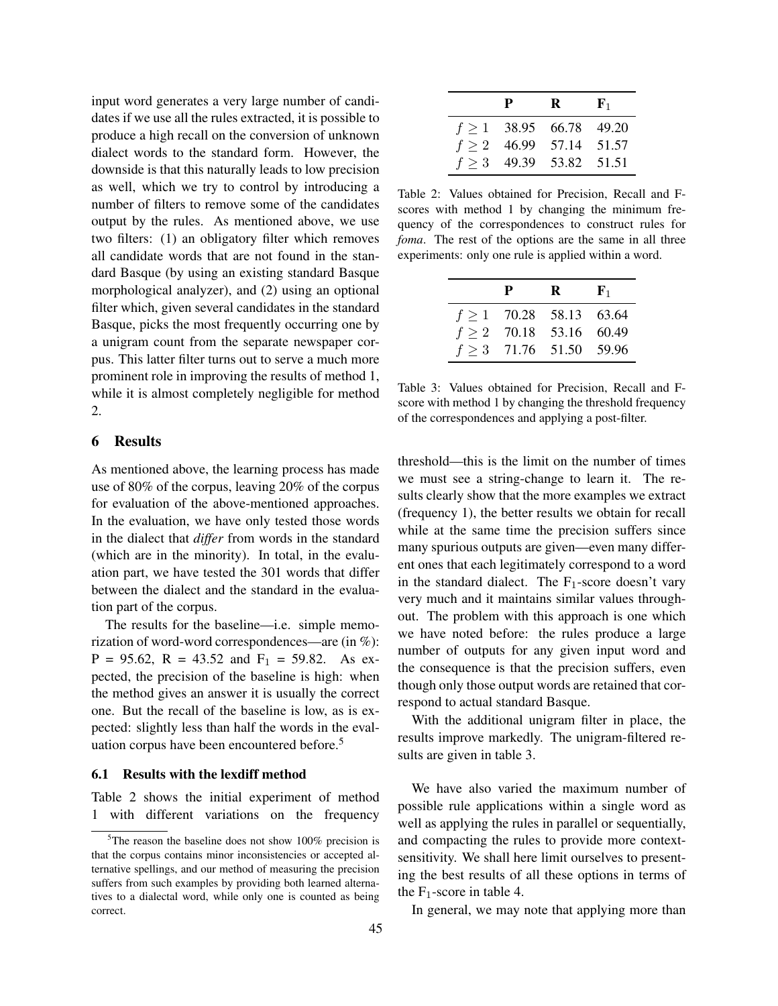input word generates a very large number of candidates if we use all the rules extracted, it is possible to produce a high recall on the conversion of unknown dialect words to the standard form. However, the downside is that this naturally leads to low precision as well, which we try to control by introducing a number of filters to remove some of the candidates output by the rules. As mentioned above, we use two filters: (1) an obligatory filter which removes all candidate words that are not found in the standard Basque (by using an existing standard Basque morphological analyzer), and (2) using an optional filter which, given several candidates in the standard Basque, picks the most frequently occurring one by a unigram count from the separate newspaper corpus. This latter filter turns out to serve a much more prominent role in improving the results of method 1, while it is almost completely negligible for method 2.

## 6 Results

As mentioned above, the learning process has made use of 80% of the corpus, leaving 20% of the corpus for evaluation of the above-mentioned approaches. In the evaluation, we have only tested those words in the dialect that *differ* from words in the standard (which are in the minority). In total, in the evaluation part, we have tested the 301 words that differ between the dialect and the standard in the evaluation part of the corpus.

The results for the baseline—i.e. simple memorization of word-word correspondences—are (in %):  $P = 95.62$ ,  $R = 43.52$  and  $F_1 = 59.82$ . As expected, the precision of the baseline is high: when the method gives an answer it is usually the correct one. But the recall of the baseline is low, as is expected: slightly less than half the words in the evaluation corpus have been encountered before.<sup>5</sup>

## 6.1 Results with the lexdiff method

Table 2 shows the initial experiment of method 1 with different variations on the frequency

| P | R                           | ${\bf F}_1$ |
|---|-----------------------------|-------------|
|   | $f \ge 1$ 38.95 66.78 49.20 |             |
|   | $f > 2$ 46.99 57.14 51.57   |             |
|   | $f > 3$ 49.39 53.82 51.51   |             |

Table 2: Values obtained for Precision, Recall and Fscores with method 1 by changing the minimum frequency of the correspondences to construct rules for *foma*. The rest of the options are the same in all three experiments: only one rule is applied within a word.

| P | R                           | ${\bf F}_1$ |
|---|-----------------------------|-------------|
|   | $f \ge 1$ 70.28 58.13 63.64 |             |
|   | $f \ge 2$ 70.18 53.16 60.49 |             |
|   | $f > 3$ 71.76 51.50 59.96   |             |

Table 3: Values obtained for Precision, Recall and Fscore with method 1 by changing the threshold frequency of the correspondences and applying a post-filter.

threshold—this is the limit on the number of times we must see a string-change to learn it. The results clearly show that the more examples we extract (frequency 1), the better results we obtain for recall while at the same time the precision suffers since many spurious outputs are given—even many different ones that each legitimately correspond to a word in the standard dialect. The  $F_1$ -score doesn't vary very much and it maintains similar values throughout. The problem with this approach is one which we have noted before: the rules produce a large number of outputs for any given input word and the consequence is that the precision suffers, even though only those output words are retained that correspond to actual standard Basque.

With the additional unigram filter in place, the results improve markedly. The unigram-filtered results are given in table 3.

We have also varied the maximum number of possible rule applications within a single word as well as applying the rules in parallel or sequentially, and compacting the rules to provide more contextsensitivity. We shall here limit ourselves to presenting the best results of all these options in terms of the  $F_1$ -score in table 4.

In general, we may note that applying more than

 $5$ The reason the baseline does not show 100% precision is that the corpus contains minor inconsistencies or accepted alternative spellings, and our method of measuring the precision suffers from such examples by providing both learned alternatives to a dialectal word, while only one is counted as being correct.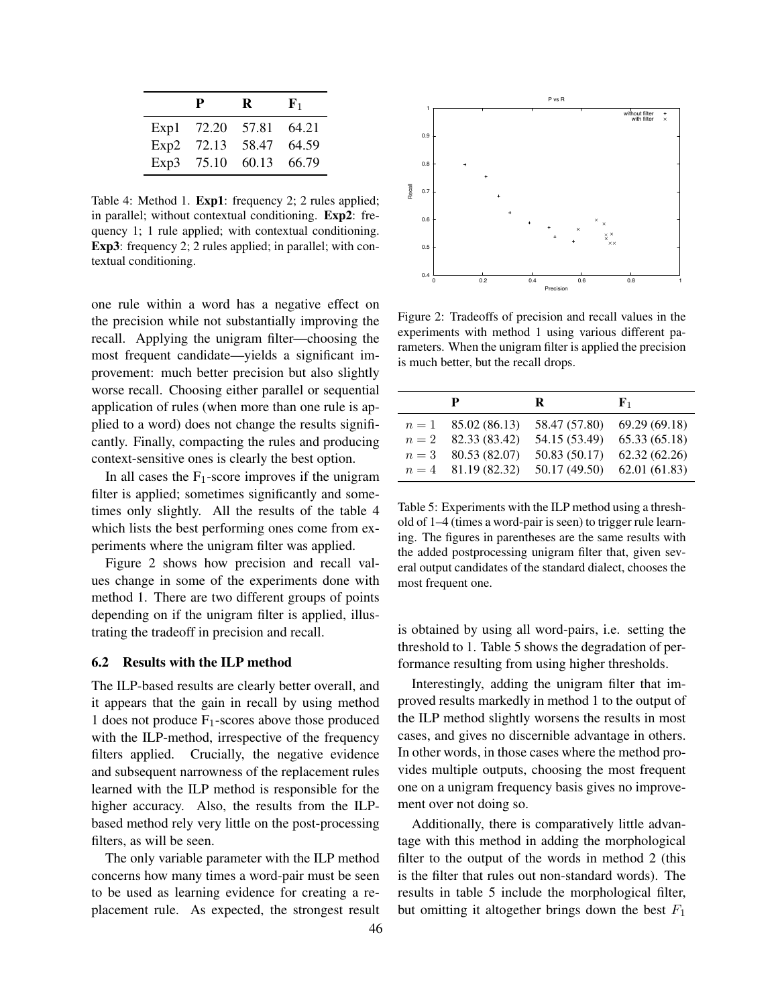|      | P     | R     | ${\bf F}_1$ |
|------|-------|-------|-------------|
| Exp1 | 72.20 | 57.81 | 64.21       |
| Exp2 | 72.13 | 58.47 | 64.59       |
| Exp3 | 75.10 | 60.13 | 66.79       |

Table 4: Method 1. Exp1: frequency 2; 2 rules applied; in parallel; without contextual conditioning. Exp2: frequency 1; 1 rule applied; with contextual conditioning. Exp3: frequency 2; 2 rules applied; in parallel; with contextual conditioning.

one rule within a word has a negative effect on the precision while not substantially improving the recall. Applying the unigram filter—choosing the most frequent candidate—yields a significant improvement: much better precision but also slightly worse recall. Choosing either parallel or sequential application of rules (when more than one rule is applied to a word) does not change the results significantly. Finally, compacting the rules and producing context-sensitive ones is clearly the best option.

In all cases the  $F_1$ -score improves if the unigram filter is applied; sometimes significantly and sometimes only slightly. All the results of the table 4 which lists the best performing ones come from experiments where the unigram filter was applied.

Figure 2 shows how precision and recall values change in some of the experiments done with method 1. There are two different groups of points depending on if the unigram filter is applied, illustrating the tradeoff in precision and recall.

## 6.2 Results with the ILP method

The ILP-based results are clearly better overall, and it appears that the gain in recall by using method 1 does not produce  $F_1$ -scores above those produced with the ILP-method, irrespective of the frequency filters applied. Crucially, the negative evidence and subsequent narrowness of the replacement rules learned with the ILP method is responsible for the higher accuracy. Also, the results from the ILPbased method rely very little on the post-processing filters, as will be seen.

The only variable parameter with the ILP method concerns how many times a word-pair must be seen to be used as learning evidence for creating a replacement rule. As expected, the strongest result



Figure 2: Tradeoffs of precision and recall values in the experiments with method 1 using various different parameters. When the unigram filter is applied the precision is much better, but the recall drops.

| р                     | R             | ${\bf F}_1$                   |
|-----------------------|---------------|-------------------------------|
| $n = 1$ 85.02 (86.13) | 58.47 (57.80) | 69.29 (69.18)                 |
| $n = 2$ 82.33 (83.42) | 54.15 (53.49) | 65.33 (65.18)                 |
| $n = 3$ 80.53 (82.07) | 50.83 (50.17) | 62.32(62.26)                  |
| $n = 4$ 81.19 (82.32) |               | $50.17(49.50)$ $62.01(61.83)$ |

Table 5: Experiments with the ILP method using a threshold of 1–4 (times a word-pair is seen) to trigger rule learning. The figures in parentheses are the same results with the added postprocessing unigram filter that, given several output candidates of the standard dialect, chooses the most frequent one.

is obtained by using all word-pairs, i.e. setting the threshold to 1. Table 5 shows the degradation of performance resulting from using higher thresholds.

Interestingly, adding the unigram filter that improved results markedly in method 1 to the output of the ILP method slightly worsens the results in most cases, and gives no discernible advantage in others. In other words, in those cases where the method provides multiple outputs, choosing the most frequent one on a unigram frequency basis gives no improvement over not doing so.

Additionally, there is comparatively little advantage with this method in adding the morphological filter to the output of the words in method 2 (this is the filter that rules out non-standard words). The results in table 5 include the morphological filter, but omitting it altogether brings down the best  $F_1$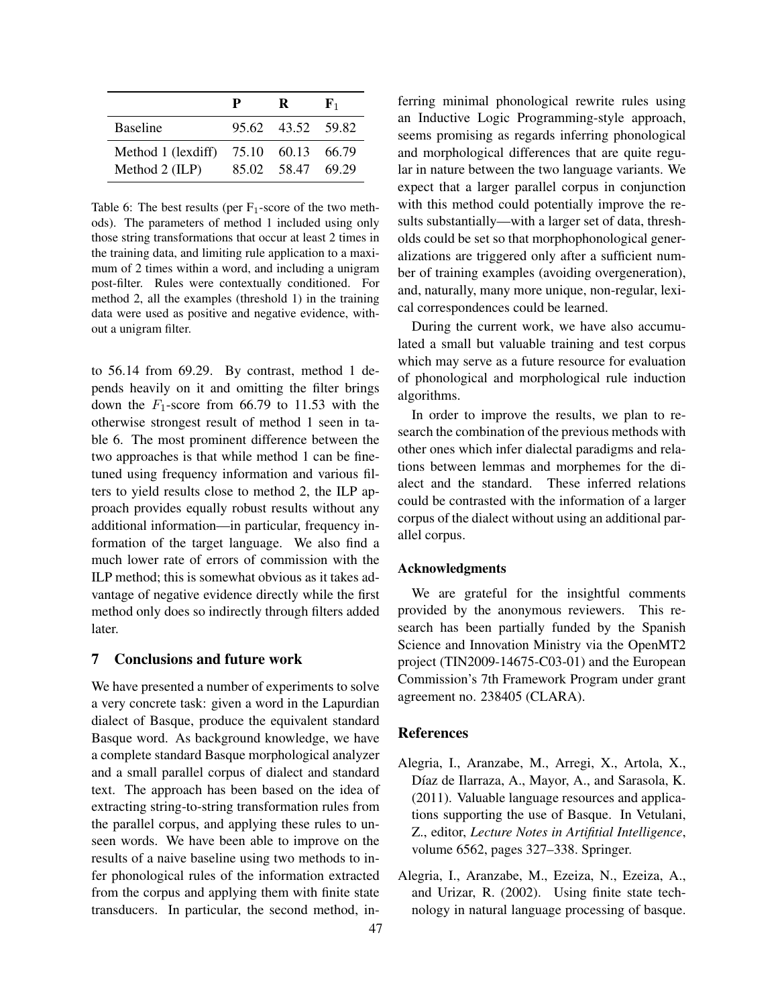|                                      | р | R                                | ${\bf F}_1$ |
|--------------------------------------|---|----------------------------------|-------------|
| <b>Baseline</b>                      |   | 95.62 43.52 59.82                |             |
| Method 1 (lexdiff)<br>Method 2 (ILP) |   | 75.10 60.13 66.79<br>85.02 58.47 | 69.29       |

Table 6: The best results (per  $F_1$ -score of the two methods). The parameters of method 1 included using only those string transformations that occur at least 2 times in the training data, and limiting rule application to a maximum of 2 times within a word, and including a unigram post-filter. Rules were contextually conditioned. For method 2, all the examples (threshold 1) in the training data were used as positive and negative evidence, without a unigram filter.

to 56.14 from 69.29. By contrast, method 1 depends heavily on it and omitting the filter brings down the  $F_1$ -score from 66.79 to 11.53 with the otherwise strongest result of method 1 seen in table 6. The most prominent difference between the two approaches is that while method 1 can be finetuned using frequency information and various filters to yield results close to method 2, the ILP approach provides equally robust results without any additional information—in particular, frequency information of the target language. We also find a much lower rate of errors of commission with the ILP method; this is somewhat obvious as it takes advantage of negative evidence directly while the first method only does so indirectly through filters added later.

# 7 Conclusions and future work

We have presented a number of experiments to solve a very concrete task: given a word in the Lapurdian dialect of Basque, produce the equivalent standard Basque word. As background knowledge, we have a complete standard Basque morphological analyzer and a small parallel corpus of dialect and standard text. The approach has been based on the idea of extracting string-to-string transformation rules from the parallel corpus, and applying these rules to unseen words. We have been able to improve on the results of a naive baseline using two methods to infer phonological rules of the information extracted from the corpus and applying them with finite state transducers. In particular, the second method, inferring minimal phonological rewrite rules using an Inductive Logic Programming-style approach, seems promising as regards inferring phonological and morphological differences that are quite regular in nature between the two language variants. We expect that a larger parallel corpus in conjunction with this method could potentially improve the results substantially—with a larger set of data, thresholds could be set so that morphophonological generalizations are triggered only after a sufficient number of training examples (avoiding overgeneration), and, naturally, many more unique, non-regular, lexical correspondences could be learned.

During the current work, we have also accumulated a small but valuable training and test corpus which may serve as a future resource for evaluation of phonological and morphological rule induction algorithms.

In order to improve the results, we plan to research the combination of the previous methods with other ones which infer dialectal paradigms and relations between lemmas and morphemes for the dialect and the standard. These inferred relations could be contrasted with the information of a larger corpus of the dialect without using an additional parallel corpus.

#### Acknowledgments

We are grateful for the insightful comments provided by the anonymous reviewers. This research has been partially funded by the Spanish Science and Innovation Ministry via the OpenMT2 project (TIN2009-14675-C03-01) and the European Commission's 7th Framework Program under grant agreement no. 238405 (CLARA).

# References

- Alegria, I., Aranzabe, M., Arregi, X., Artola, X., Díaz de Ilarraza, A., Mayor, A., and Sarasola, K. (2011). Valuable language resources and applications supporting the use of Basque. In Vetulani, Z., editor, *Lecture Notes in Artifitial Intelligence*, volume 6562, pages 327–338. Springer.
- Alegria, I., Aranzabe, M., Ezeiza, N., Ezeiza, A., and Urizar, R. (2002). Using finite state technology in natural language processing of basque.